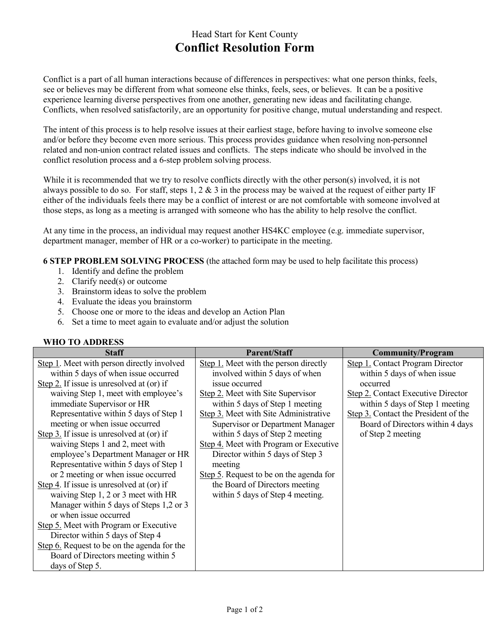## Head Start for Kent County **Conflict Resolution Form**

Conflict is a part of all human interactions because of differences in perspectives: what one person thinks, feels, see or believes may be different from what someone else thinks, feels, sees, or believes. It can be a positive experience learning diverse perspectives from one another, generating new ideas and facilitating change. Conflicts, when resolved satisfactorily, are an opportunity for positive change, mutual understanding and respect.

The intent of this process is to help resolve issues at their earliest stage, before having to involve someone else and/or before they become even more serious. This process provides guidance when resolving non-personnel related and non-union contract related issues and conflicts. The steps indicate who should be involved in the conflict resolution process and a 6-step problem solving process.

While it is recommended that we try to resolve conflicts directly with the other person(s) involved, it is not always possible to do so. For staff, steps 1, 2  $\&$  3 in the process may be waived at the request of either party IF either of the individuals feels there may be a conflict of interest or are not comfortable with someone involved at those steps, as long as a meeting is arranged with someone who has the ability to help resolve the conflict.

At any time in the process, an individual may request another HS4KC employee (e.g. immediate supervisor, department manager, member of HR or a co-worker) to participate in the meeting.

**6 STEP PROBLEM SOLVING PROCESS** (the attached form may be used to help facilitate this process)

- 1. Identify and define the problem
- 2. Clarify need(s) or outcome
- 3. Brainstorm ideas to solve the problem
- 4. Evaluate the ideas you brainstorm
- 5. Choose one or more to the ideas and develop an Action Plan
- 6. Set a time to meet again to evaluate and/or adjust the solution

## **WHO TO ADDRESS**

| <b>Staff</b>                                | <b>Parent/Staff</b>                     | <b>Community/Program</b>                  |
|---------------------------------------------|-----------------------------------------|-------------------------------------------|
| Step 1. Meet with person directly involved  | Step 1. Meet with the person directly   | <b>Step 1. Contact Program Director</b>   |
| within 5 days of when issue occurred        | involved within 5 days of when          | within 5 days of when issue               |
| Step 2. If issue is unresolved at (or) if   | issue occurred                          | occurred                                  |
| waiving Step 1, meet with employee's        | Step 2. Meet with Site Supervisor       | <b>Step 2.</b> Contact Executive Director |
| immediate Supervisor or HR                  | within 5 days of Step 1 meeting         | within 5 days of Step 1 meeting           |
| Representative within 5 days of Step 1      | Step 3. Meet with Site Administrative   | Step 3. Contact the President of the      |
| meeting or when issue occurred              | Supervisor or Department Manager        | Board of Directors within 4 days          |
| Step 3. If issue is unresolved at (or) if   | within 5 days of Step 2 meeting         | of Step 2 meeting                         |
| waiving Steps 1 and 2, meet with            | Step 4. Meet with Program or Executive  |                                           |
| employee's Department Manager or HR         | Director within 5 days of Step 3        |                                           |
| Representative within 5 days of Step 1      | meeting                                 |                                           |
| or 2 meeting or when issue occurred         | Step 5. Request to be on the agenda for |                                           |
| Step 4. If issue is unresolved at (or) if   | the Board of Directors meeting          |                                           |
| waiving Step 1, 2 or 3 meet with HR         | within 5 days of Step 4 meeting.        |                                           |
| Manager within 5 days of Steps 1,2 or 3     |                                         |                                           |
| or when issue occurred                      |                                         |                                           |
| Step 5. Meet with Program or Executive      |                                         |                                           |
| Director within 5 days of Step 4            |                                         |                                           |
| Step 6. Request to be on the agenda for the |                                         |                                           |
| Board of Directors meeting within 5         |                                         |                                           |
| days of Step 5.                             |                                         |                                           |